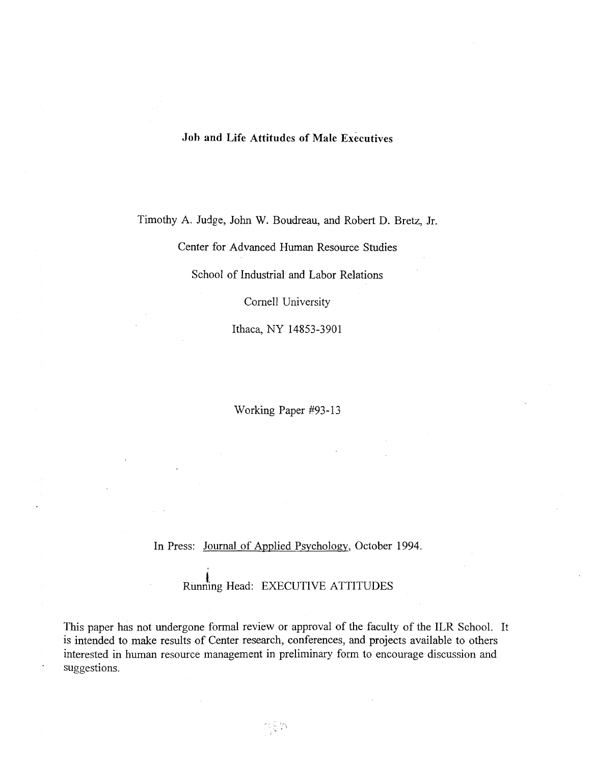# Joh and Life Attitudes of Male Executives

Timothy A. Judge, John W. Boudreau, and Robert D. Bretz, Jr.

Center for Advanced Human Resource Studies

School of Industrial and Labor Relations

Cornell University

Ithaca, NY 14853-3901

Working Paper #93-13

In Press: Journal of Applied Psychology, October 1994.

Running Head: EXECUTIVE ATTITUDES

This paper has not undergone formal review or approval of the faculty of the ILR School. It is intended to make results of Center research, conferences, and projects available to others interested in human resource management in preliminary form to encourage discussion and suggestions.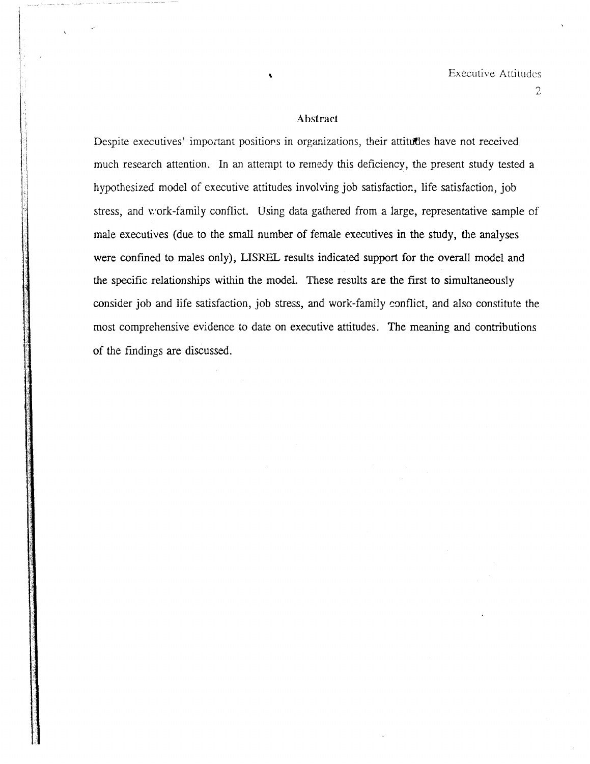#### Abstract

Despite executives' important positions in organizations, their attitudes have not received much research attention. In an attempt to remedy this deficiency, the present study tested a hypothesized model of executive attitudes involving job satisfaction, life satisfaction, job stress, and v:ork-family conflict. Using data gathered from a large, representative sample of male executives (due to the small number of female executives in the study, the analyses were confmed to males only), LISREL results indicated support for the overall model and the specific relationships within the model. These results are the first to simultaneously consider job and life satisfaction, job stress, and work-family conflict, and also constitute the most comprehensive evidence to date on executive attitudes. The meaning and contributions of the fmdings are discussed.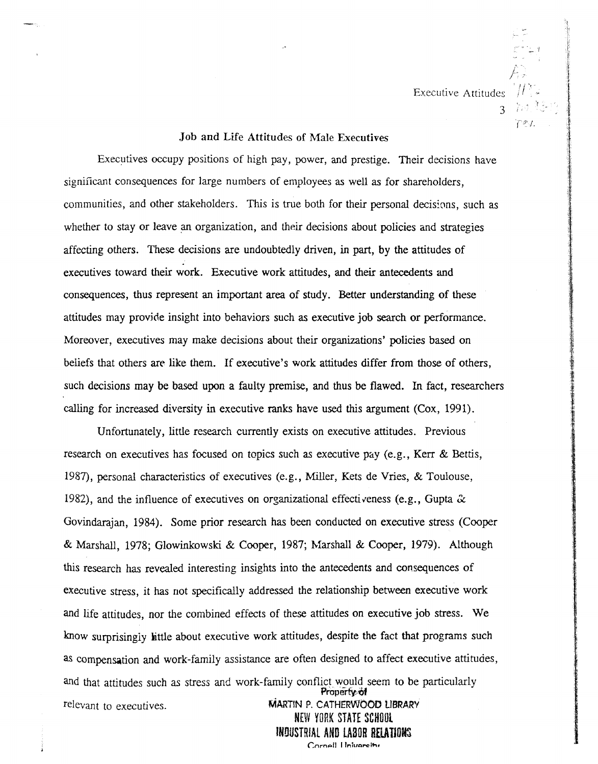Executive Attitudes  $\|H\|$ 

'. I - ,

r2v.

3

### Job and Life Attitudes of Male Executives

Executives occupy positions of high pay, power, and prestige. Their decisions have significant consequences for large numbers of employees as well as for shareholders, communities, and other stakeholders. This is true both for their personal decisions, such as whether to stay or leave an organization, and their decisions about policies and strategies affecting others. These decisions are undoubtedly driven, in part, by the attitudes of executives toward their work. Executive work attitudes, and their antecedents and consequences, thus represent an important area of study. Better understanding of these attitudes may provide insight into behaviors such as executive job search or performance. Moreover, executives may make decisions about their organizations' policies based on beliefs that others are like them. If executive's work attitudes differ from those of others, such decisions may be based upon a faulty premise, and thus be flawed. In fact, researchers calling for increased diversity in executive ranks have used this argument (Cox, 1991).

Unfortunately, little research currently exists on executive attitudes. Previous research on executives has focused on topics such as executive pay (e.g., Kerr & Bettis, 1987), personal characteristics of executives (e.g., Miller, Kets de Vries, & Toulouse, 1982), and the influence of executives on organizational effectiveness (e.g., Gupta  $\alpha$ Govindarajan, 1984). Some prior research has been conducted on executive stress (Cooper & Marshall, 1978; Glowinkowski & Cooper, 1987; Marshall & Cooper, 1979). Although this research has revealed interesting insights into the antecedents and consequences of executive stress, it has not specifically addressed the relationship between executive work and life attitudes, nor the combined effects of these attitudes on executive job stress. We know surprisingiy little about executive work attitudes, despite the fact that programs such as compensation and work-family assistance are often designed to affect executive attitudes, and that attitudes such as stress and work-family conflict would seem to be particularly Property of relevant to executives. MARTIN P. CATHERWOOD LIBRARY

NEW YORK STATE SCHOOL INDUSTRIAL AND LABOR RELATIONS Cornell Holvereity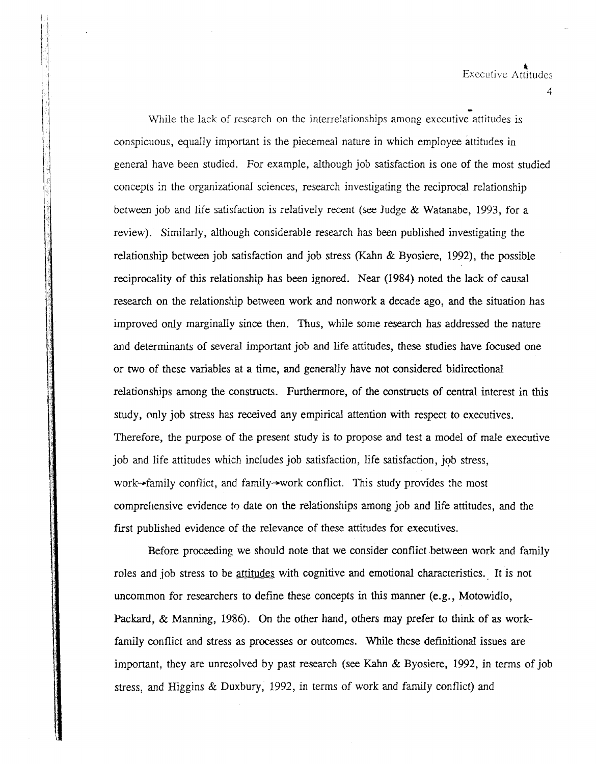- While the lack of research on the interrelationships among executive attitudes is conspicuous, equally important is the piecemeal nature in which employee attitudes in general have been studied. For example, although job satisfaction is one of the most studied concepts *in* the organizational sciences, research investigating the reciprocal relationship between job and life satisfaction is relatively recent (see Judge & Watanabe, 1993, for a review). Similarly, although considerable research has been published investigating the relationship between job satisfaction and job stress (Kahn & Byosiere, 1992), the possible reciprocality of this relationship has been ignored. Near (1984) noted the lack of causal research on the relationship between work and nonwork a decade ago, and the situation has improved only marginally since then. Thus, while some research has addressed the nature and determinants of several important job and life attitudes, these studies have focused one or two of these variables at a time, and generally have not considered bidirectional relationships among the constructs. Furthermore, of the constructs of central interest in this study, only job stress has received any empirical attention with respect to executives. Therefore, the purpose of the present study is to propose and test a model of male executive job and life attitudes which includes job satisfaction, life satisfaction, job stress, work $\rightarrow$ family conflict, and family $\rightarrow$ work conflict. This study provides the most comprehensive evidence to date on the relationships among job and life attitudes, and the first published evidence of the relevance of these attitudes for executives.

Before proceeding we should note that we consider conflict between work and family roles and job stress to be attitudes with cognitive and emotional characteristics.. It is not uncommon for researchers to define these concepts in this manner (e.g., Motowidlo, Packard, & Manning, 1986). On the other hand, others may prefer to think of as workfamily conflict and stress as processes or outcomes. While these definitional issues are important, they are unresolved by past research (see Kahn & Byosiere, 1992, in terms of job stress, and Higgins & Duxbury, 1992, in terms of work and family conflict) and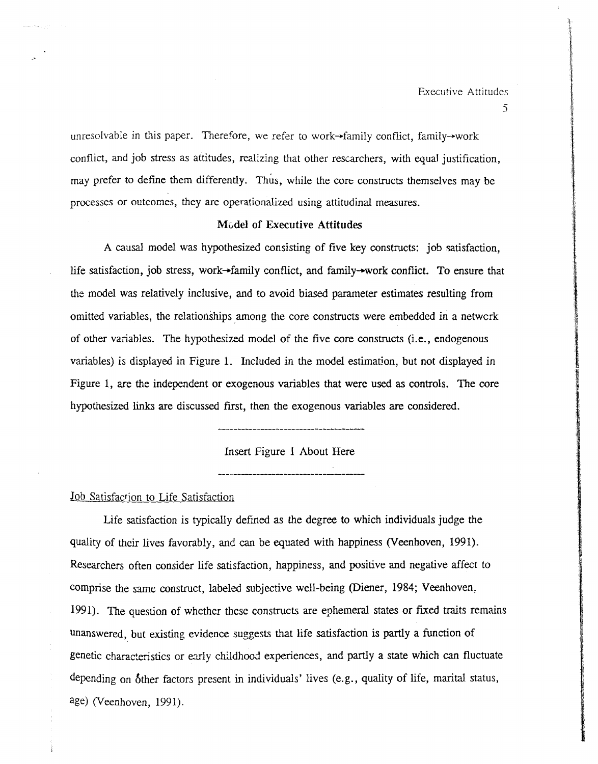unresolvable in this paper. Therefore, we refer to work-family conflict, family-work conflict, and job stress as attitudes, realizing that other rescarchers, with equal justification, may prefer to define them differently. Thus, while the core constructs themselves may be processes or outcomes, they are operationalized using attitudinal measures.

#### Model of Executive Attitudes

A causal model was hypothesized consisting of five key constructs: job satisfaction, life satisfaction, job stress, work-family conflict, and family-work conflict. To ensure that the model was relatively inclusive, and to avoid biased parameter estimates resulting from omitted variables, the relationships among the core constructs were embedded in a network of other variables. The hypothesized model of the five core constructs (i.e., endogenous variables) is displayed in Figure 1. Included in the model estimation, but not displayed in Figure 1, are the independent or exogenous variables that were used as controls. The core hypothesized links are discussed first, then the exogenous variables are considered.

**--------------------------------------**

Insert Figure 1 About Here

**--------------------------------------**

## Job Satisfaction to Life Satisfaction

Life satisfaction is typically defined as the degree to which individuals judge the quality of their lives favorably, and can be equated with happiness (Veenhoven, 1991). Researchers often consider life satisfaction, happiness, and positive and negative affect to comprise the same construct, labeled subjective well-being (Diener, 1984; Veenhoven, 1991). The question of whether these constructs are ephemeral states or fixed traits remains unanswered, but existing evidence suggests that life satisfaction is partly a function of genetic characteristics or early childhood experiences, and partly a state which can fluctuate depending on 6ther factors present in individuals' lives (e.g., quality of life, marital status, age) (Veenhoven, 1991).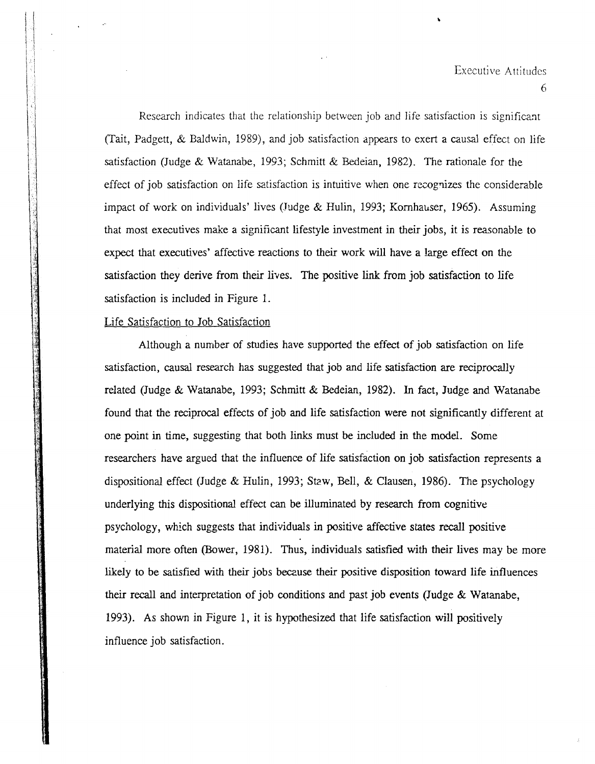$\ddot{\phantom{a}}$ 

Research indicates that the relationship between job and life satisfaction is significant (Tait, Padgett, & Baldwin, 1989), and job satisfaction appears to exert a causal effect on life satisfaction (Judge & Watanabe, 1993; Schmitt & Bedeian, 1982). The rationale for the effect of job satisfaction on life satisfaction is intuitive when one recognizes the considerable impact of work on individuals' lives (Judge  $&$  Hulin, 1993; Kornhauser, 1965). Assuming that most executives make a significant lifestyle investment in their jobs, it is reasonable to expect that executives' affective reactions to their work will have a large effect on the satisfaction they derive from their lives. The positive link from job satisfaction to life satisfaction is included in Figure 1.

 $\ddot{\phantom{a}}$ 

### Life Satisfaction to Job Satisfaction

Although a number of studies have supported the effect of job satisfaction on life satisfaction, causal research has suggested that job and life satisfaction are reciprocally related (Judge & Watanabe, 1993; Schmitt & Bedeian, 1982). In fact, Judge and Watanabe found that the reciprocal effects of job and life satisfaction were not significantly different at one point in time, suggesting that both links must be included in the model. Some researchers have argued that the influence of life satisfaction on job satisfaction represents a dispositional effect (Judge & Hulin, 1993; Staw, Bell, & Clausen, 1986). The psychology underlying this dispositional effect can be illuminated by research from cognitive psychology, which suggests that individuals in positive affective states recall positive material more often (Bower, 1981). Thus, individuals satisfied with their lives may be more likely to be satisfied with their jobs because their positive disposition toward life influences their recall and interpretation of job conditions and past job events (Judge & Watanabe, 1993). As shown in Figure 1, it is hypothesized that life satisfaction will positively influence job satisfaction.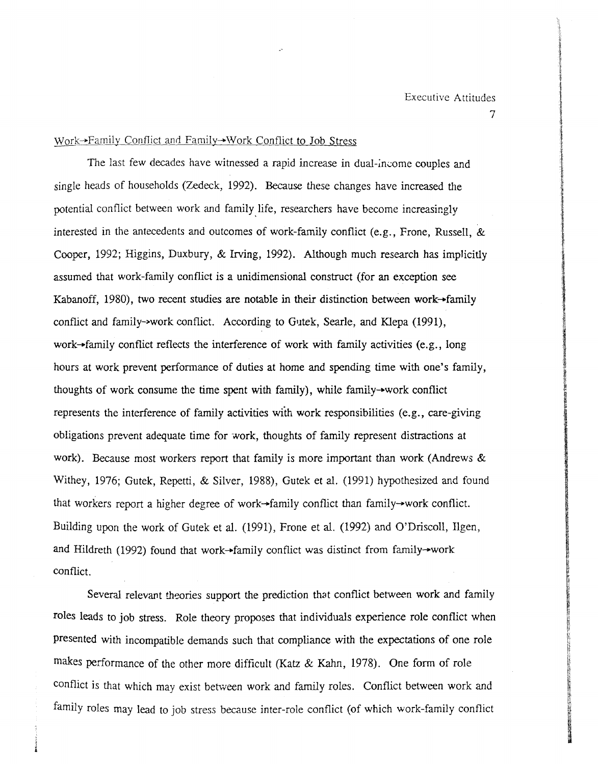.~ ing the dealership

> *:t* U .

l. it m

~  $\frac{1}{2}$ 

**ISSUED** 

# Work-Family Conflict and Family-\Vork Conflict to Job Stress

The last few decades have witnessed a rapid increase in dual-income couples and single heads of households (Zedeck, 1992). Because these changes have increased the potential conflict between work and family life, researchers have become increasingly interested in the antecedents and outcomes of work-family conflict (e.g., Frone, Russell,  $&$ Cooper, 1992; Higgins, Duxbury, & Irving, 1992). Although much research has implicitly assumed that work-family conflict is a unidimensional construct (for an exception see Kabanoff, 1980), two recent studies are notable in their distinction between work-family conflict and family->work conflict. According to *G'ltek,* Searle, and Klepa (1991), work-family conflict reflects the interference of work with family activities (e.g., long hours at work prevent performance of duties at home and spending time with one's family, thoughts of work consume the time spent with family), while family-work conflict represents the interference of family activities with work responsibilities (e.g., care-giving obligations prevent adequate time for work, thoughts of family represent distractions at work). Because most workers report that family is more important than work (Andrews & Withey, 1976; Gutek, Repetti, & Silver, 1988), Gutek et al. (1991) hypothesized and found that workers report a higher degree of work-family conflict than family-work conflict. Building upon the work of Gutek et al. (1991), Frone et al. (1992) and O'Driscoll, Ilgen, and Hildreth (1992) found that work-family conflict was distinct from family-work conflict.

Several relevant theories support the prediction that conflict between work and family roles leads to job *stress.* Role theory proposes that individuals experience rale conflict when conflict is that which may exist between work and family roles. Conflict between work and family roles may lead to job stress because inter-role conflict (of which work-family conflict presented with incompatible demands such that compliance with the expectations of one role makes performance of the other more difficult (Katz & Kahn, 1978). One form of role

; i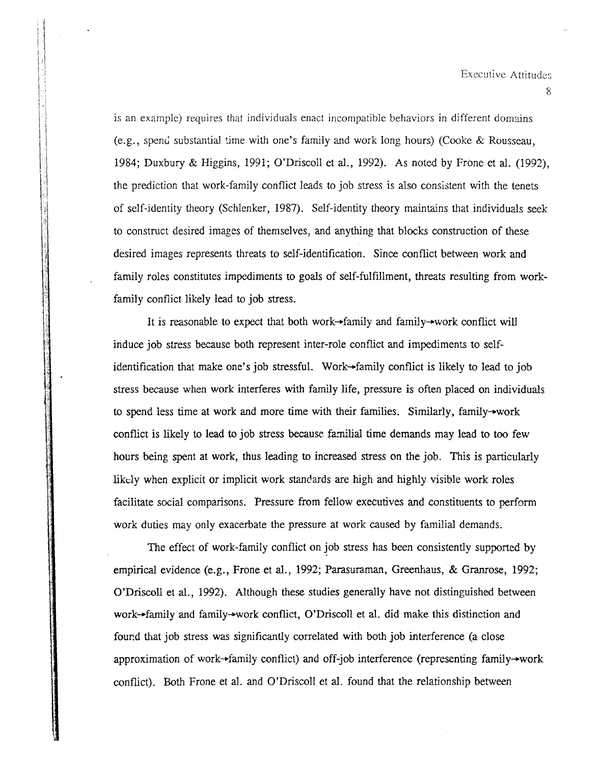is an example) requires that individuals enact incompatible behaviors in different domains  $(e.g., spend substantial time with one's family and work long hours) (Cooke & Rousseau,$ 1984; Duxbury & Higgins, 1991; O'Driscoll et al., 1992). As noted by Frane et al. (1992), the prediction that work-family conflict leads to job stress is also consistent with the tenets of self-identity theory (Schlenker, 1987). Self-identity theory maintains that individuals seek to construct desired images of themselves, and anything that blocks construction of these desired images represents threats to self-identification. Since conflict between work and family roles constitutes impediments to goals of self-fulfillment, threats resulting from workfamily conflict likely lead to job stress.

It is reasonable to expect that both work-family and family-work conflict will induce job stress because both represent inter-role conflict and impediments to selfidentification that make one's job stressful. Work-family conflict is likely to lead to job stress because when work interferes with family life, pressure is often placed on individuals to spend less time at work and more time with their families. Similarly, family-work conflict is likely to lead to job stress because familial time demands may lead to too few hours being spent at work, thus leading to increased stress on the job. This is particularly likely when explicit or implicit work standards are high and highly visible work roles facilitate social comparisons. Pressure from fellow executives and constituents to perform work duties may only exacerbate the pressure at work caused by familial demands.

The effect of work-family conflict on job stress has been consistently supported by empirical evidence (e.g., Frone et al., 1992; Parasuraman, Greenhaus, & Granrose, 1992; O'Driscoll et al., 1992). Although these studies generally have not distinguished between work-family and family-work conflict, O'Driscoll et al. did make this distinction and found that job stress was significantly correlated with both job interference (a close approximation of work-family conflict) and off-job interference (representing family-work conflict). Both Frone et aI. and O'Driscoll et al. found that the relationship between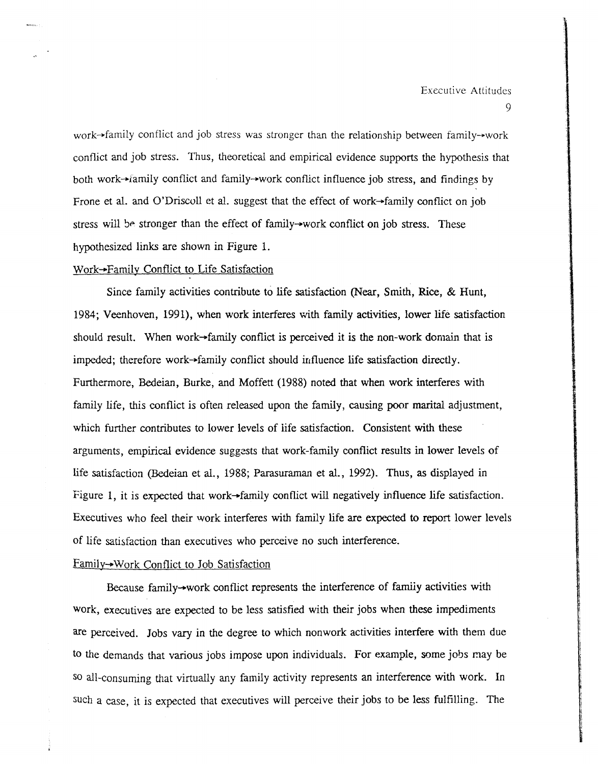# Executive Attitudes

9

work-family conflict and job stress was stronger than the relationship between family-work conflict and job stress. Thus, theoretical and empirical evidence supports the hypothesis that both work-+family conflict and family-+work conflict influence job stress, and findings by Frone et al. and O'Driscoll et al. suggest that the effect of work $\rightarrow$ family conflict on job stress will be stronger than the effect of family-work conflict on job stress. These hypothesized links are shown in Figure 1.

## Work-Family Conflict to Life Satisfaction

Since family activities contribute to life satisfaction (Near, Smith, Rice, & Hunt, 1984; Veenhoven, 1991), when work interferes with family activities, lower life satisfaction should result. When work- $+$ family conflict is perceived it is the non-work domain that is impeded; therefore work $\rightarrow$ family conflict should influence life satisfaction directly. Furthermore, Bedeian, Burke, and Moffett (1988) noted that when work interferes with family life, this conflict is often released upon the family, causing poor marital adjustment, which further contributes to lower levels of life satisfaction. Consistent with these arguments, empirical evidence suggests that work-family conflict results in lower levels of life satisfaction (Bedeian et al., 1988; Parasuraman et al., 1992). Thus, as displayed in Figure 1, it is expected that work-family conflict will negatively influence life satisfaction. Executives who feel their work interferes with family life are expected to report lower levels of life satisfaction than executives who perceive no such interference.

#### Family-Work Conflict to Job Satisfaction

Because family-work conflict represents the interference of family activities with work, executives are expected to be less satisfied with their jobs when these impediments are perceived. Jobs vary in the degree to which nonwork activities interfere with them due to the demands that various jobs impose upon individuals. For example, some jobs may be so all-consuming that virtually any family activity represents an interference with work. In such a case, it is expected that executives will perceive their jobs to be less fulfilling. The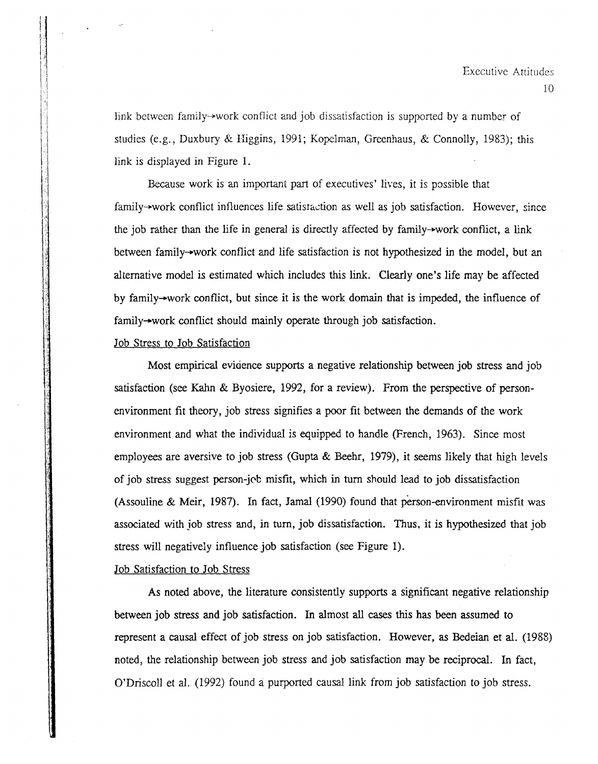link between family $\rightarrow$ work conflict and job dissatisfaction is supported by a number of studies (e.g., Duxbury & Higgins, 1991; Kopelman, Greenhaus, & Connolly, 1983); this link is displayed in Figure 1.

Because work is an important part of executives' lives, it is possible that family-work conflict influences life satisraction as well as job satisfaction. However, since the job rather than the life in general is directly affected by family-work conflict, a link between family-+work conflict and life satisfaction is not hypothesized in the model, but an alternative model is estimated which includes this link. Clearly one's life may be affected by family-+work conflict, but since it is the work domain that is impeded, the influence of family-+work conflict should mainly operate through job satisfaction.

# Job Stress to Job Satisfaction

 $1\%$ 1'1

> $\left| \cdot \right|$  $\mathbf{I}$ I" 'J

> > I I

> > > Most empirical evidence supports a negative relationship between job stress and job satisfaction (see Kahn & Byosiere, 1992, for a review). From the perspective of personenvironment fit theory, job stress signifies a poor fit between the demands of the work environment and what the individual *is* equipped to handle (French, 1963). Since most employees are aversive to job stress (Gupta & Beehr, 1979), it seems likely that high levels of job stress suggest person-job misfit, which in turn should lead to job dissatisfaction (Assouline & Meir, 1987). In fact, Jamal (1990) found that person-environment misfit was associated with job stress and, in turn, job dissatisfaction. Thus, it is hypothesized that job stress will negatively influence job satisfaction (see Figure 1).

#### Job Satisfaction to Job Stress

As noted above, the literature consistently supports a significant negative relationship between job stress and job satisfaction. In almost all cases this has been assumed to represent a causal effect of job stress on job satisfaction. However, as Bedeian et aI. (1988) noted, the relationship between job stress and job satisfaction may be reciprocal. In fact, O'Driscoll et al. (1992) found a purported causal link from job satisfaction to job stress.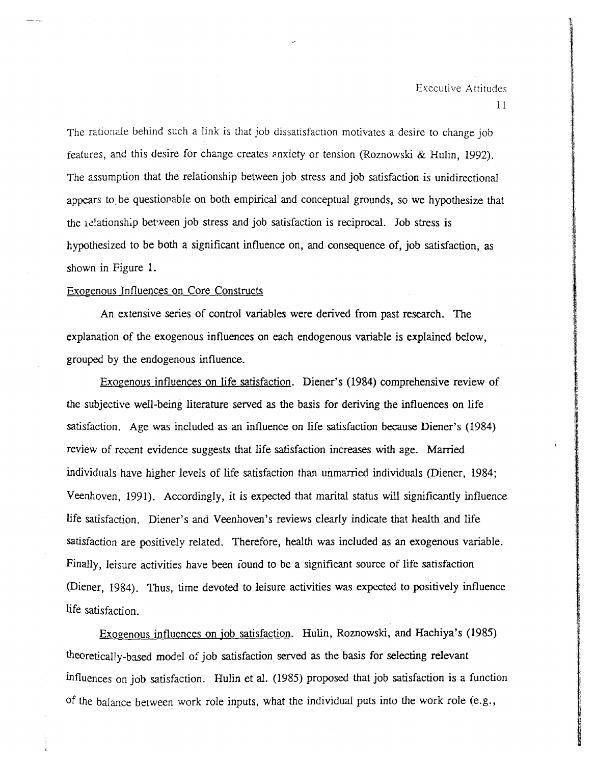The rationale behind such a link is that job dissatisfaction motivates a desire to change job features, and this desire for change creates anxiety or tension (Roznowski & Hulin, 1992). The assumption that the relationship between job stress and job satisfaction is unidirectional appears to. be questionable on both empirical and conceptual grounds, so we hypothesize that the *i*-c<sup>1</sup>ationship between job stress and job satisfaction is reciprocal. Job stress is hypothesized to be both a significant influence on, and consequence of, job satisfaction, as shown in Figure 1.

#### Exogenous Influences on Core Constructs

An extensive series of control variables were derived from past research. The explanation of the exogenous influences on each endogenous variable is explained below, grouped by the endogenous influence.

Exogenous influences on life satisfaction. Diener's (1984) comprehensive review of the subjective well-being literature served as the basis for deriving the influences on life satisfaction. Age was included as an influence on life satisfaction because Diener's (1984) review of recent evidence suggests that life satisfaction increases with age. Married individuals have higher levels of life satisfaction than unmarried individuals (Diener, 1984; Veenhoven, 1991). Accordingly, it is expected that marital status will significantly influence life satisfaction. Diener's and Veenhoven's reviews clearly indicate that health and life satisfaction are positively related. Therefore, health was included as an exogenous variable. Finally, leisure activities have been round to be a significant source of life satisfaction (Diener, 1984). Thus, time devoted to leisure activities was expected to positively influence life satisfaction.

Exogenous influences on job satisfaction. Hulin, Roznowski, and Hachiya's (1985) theoretically-based model of job satisfaction served as the basis for selecting relevant influences on job satisfaction. Hulin et al. (1985) proposed that job satisfaction is a function of the balance between work role inputs, what the individual puts into the work role (e.g.,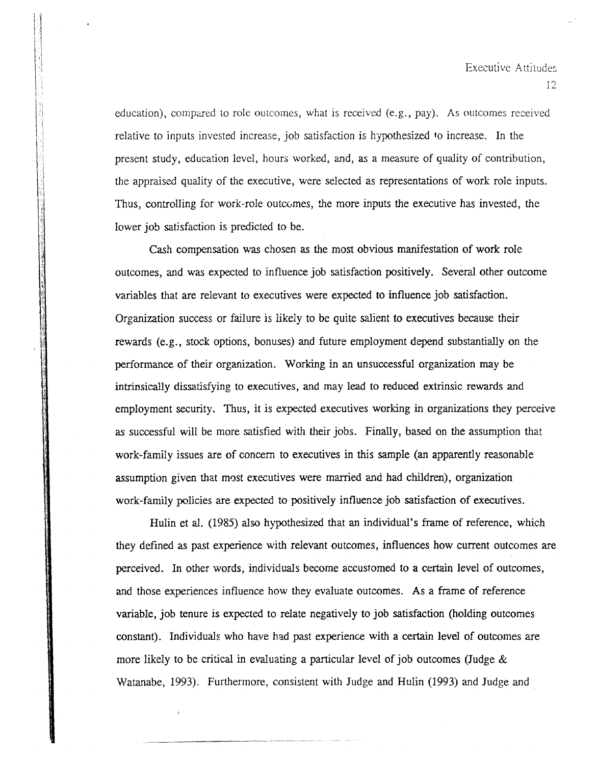education), compared to role outcomes, what is received (e.g., pay). As outcomes received relative to inputs invested increase, job satisfaction is hypothesized to increase. In the present study, education level, hours worked, and, as a measure of quality of contribution, the appraised quality of the executive, were selected as representations of work role inputs. Thus, controlling for work-role outcomes, the more inputs the executive has invested, the lower job satisfaction is predicted to be.

Cash compensation was chosen as the most obvious manifestation of work role outcomes, and was expected to influence job satisfaction positively. Several other outcome variables that are relevant to executives were expected to influence job satisfaction. Organization success or failure is likely to be quite salient to executives because their rewards (e.g., stock options, bonuses) and future employment depend substantially on the performance of their organization. Working in an unsuccessful organization may be intrinsically dissatisfying to executives, and may lead to reduced extrinsic rewards and employment security. Thus, it is expected executives working in organizations they perceive as successful will be more satisfied with their jobs. Finally, based on the assumption that work-family issues are of concern to executives in this sample (an apparently reasonable assumption given that most executives were married and had children), organization work-family policies are expected to positively influence job satisfaction of executives.

Hulin et aI. (1985) also hypothesized that an individual's frame of reference, which they defined as past experience with relevant outcomes, influences how current outcomes are perceived. In other words, individuals become accustomed to a certain level of outcomes, and those experiences influence how they evaluate outcomes. As a frame of reference variable, job tenure is expected to relate negatively to job satisfaction (holding outcomes constant). Individuals who have had past experience with a certain level of outcomes are more likely to be critical in evaluating a particular level of job outcomes (Judge & Watanabe, 1993). Furthermore, consistent with Judge and Hulin (1993) and Judge and

----\_.--------.\_-.\_---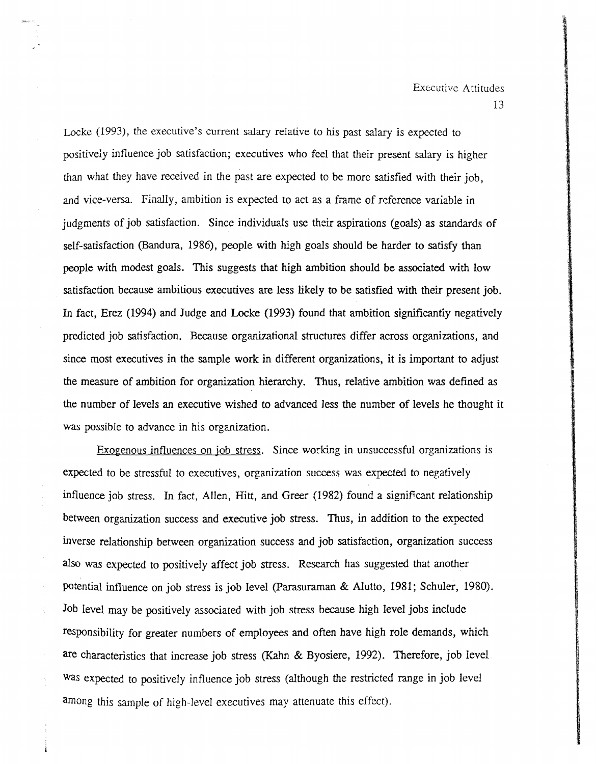Locke (1993), the executive's current salary relative to his past salary is expected to positively influence job satisfaction; executives who feel that their present salary is higher than what they have received in the past are expected to be more satisfied with their job, and vice-versa. Finally, ambition is expected to act as a frame of reference variable in judgments of job satisfaction. Since individuals use their aspirations (goals) as standards of self-satisfaction (Bandura, 1986), people with high goals should be harder to satisfy than people with modest goals. This suggests that high ambition should be associated with low satisfaction because ambitious executives are less likely to be satisfied with their present job. In fact, Erez (1994) and Judge and Locke (1993) found that ambition significantly negatively predicted job satisfaction. Because organizational structures differ across organizations, and since most executives in the sample work in different organizations, it is important to adjust the measure of ambition for organization hierarchy. Thus, relative ambition was defined as the number of levels an executive wished to advanced Jess the number of levels he thought it was possible to advance in his organization.

Exogenous influences on job stress. Since working in unsuccessful organizations is expected to be stressful to executives, organization success was expected to negatively influence job stress. In fact, Allen, Hitt, and Greer (1982) found a significant relationship between organization success and executive job stress. Thus, in addition to the expected inverse relationship between organization success and job satisfaction, organization success also was expected to positively affect job stress. Research has suggested that another potential influence on job stress is job level (parasuraman & Alutto, 1981; Schuler, 1980). Job level may be positively associated with job stress because high level jobs include responsibility for greater numbers of employees and often have high role demands, which are characteristics that increase job stress (Kahn & Byosiere, 1992). Therefore, job level was expected to positively influence job stress (although the restricted range in job level among this sample of high-level executives may attenuate this effect).

13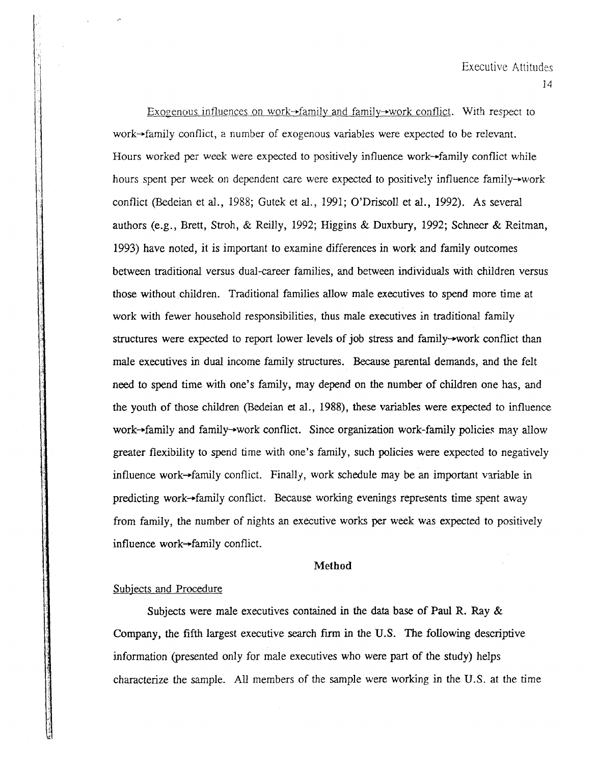Exogenous influences on work $\rightarrow$ family and family $\rightarrow$ work conflict. With respect to work-+family conflict, a number of exogenous variables were expected to be relevant. Hours worked per week were expected to positively influence work-+family conflict while hours spent per week on dependent care were expected to positively influence family $\rightarrow$ work conflict (Bedeian et al., 1988; Gutek et al., 1991; O'Driscoll et al., 1992). As several authors (e.g., Brett, Stroh, & Reilly, 1992; Higgins & Duxbury, 1992; Schneer & Reitman, 1993) have noted, it is important to examine differences in work and family outcomes between traditional versus dual-career families, and between individuals with children versus those without children. Traditional families allow male executives to spend more time at work with fewer household responsibilities, thus male executives in traditional family structures were expected to report lower levels of job stress and family-work conflict than male executives in dual income family structures. Because parental demands, and the felt need to spend time with one's family, may depend on the number of children one has, and the youth of those children (Bedeian et al., 1988), these variables were expected to influence work- $\rightarrow$ family and family- $\rightarrow$ work conflict. Since organization work-family policies may allow greater flexibility to spend time with one's family, such policies were expected to negatively influence work $\rightarrow$ family conflict. Finally, work schedule may be an important variable in predicting work-family conflict. Because working evenings represents time spent away from family, the number of nights an executive works per week was expected to positively influence work-family conflict.

#### Method

#### Subiects and Procedure

Subjects were male executives contained in the data base of Paul R. Ray  $\&$ Company, the fifth largest executive search firm in the U.S. The following descriptive information (presented only for male executives who were part of the study) helps characterize the sample. All members of the sample were working in the U.S. at the time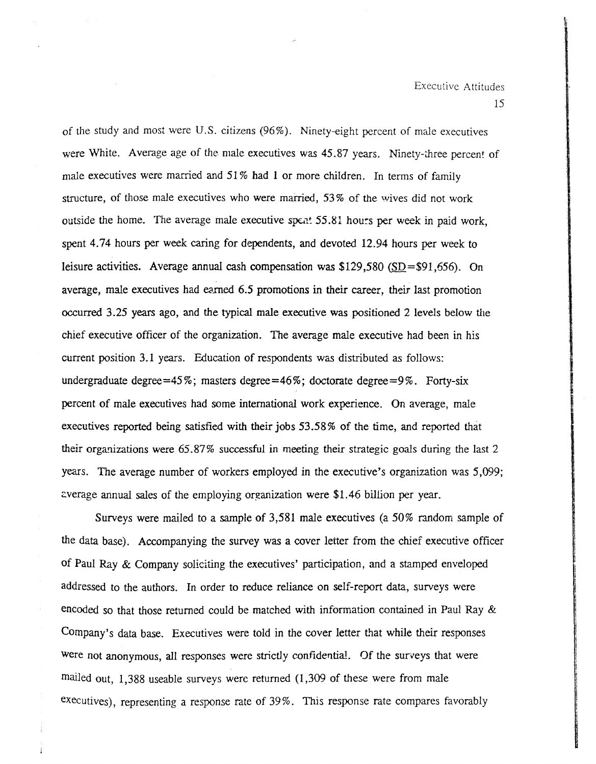of the study and most were U.S. citizens  $(96\%)$ . Ninety-eight percent of male executives were White. Average age of the male executives was 45.87 years. Ninety-three percent of male executives were married and 51% had 1 or more children. In terms of family structure, of those male executives who were married, 53 % of the wives did not work outside the home. The average male executive speat  $55.81$  hours per week in paid work. spent 4.74 hours per week caring for dependents, and devoted 12.94 hours per week to leisure activities. Average annual cash compensation was \$129,580 *(SD=\$91,656).* On average, male executives had earned 6.5 promotions in their career, their last promotion occurred 3.25 years ago, and the typical male executive was positioned 2 levels below the chief executive officer of the organization. The average male executive had been in his current position 3.1 years. Education of respondents was distributed as follows: undergraduate degree=45%; masters degree=46%; doctorate degree=9%. Forty-six percent of male executives had some international work experience. On average, male executives reported being satisfied with their jobs 53.58% of the time, and reported that their organizations were  $65.87\%$  successful in meeting their strategic goals during the last 2 years. The average number of workers employed in the executive's organization was 5,099; Everage annual sales of the employing organization were \$1.46 billion per year.

Surveys were mailed to a sample of  $3,581$  male executives (a 50% random sample of the data base). Accompanying the survey was a cover letter from the chief executive officer of Paul Ray & Company soliciting the executives' participation, and a stamped enveloped addressed to the authors. In order to reduce reliance on self-report data, surveys were encoded so that those returned could be matched with information contained in Paul Ray & Company's data base. Executives were told in the cover letter that while their responses were not anonymous, all responses were strictly confidential. Of the surveys that were mailed out, 1,388 useable surveys were returned (1,309 of these were from male executives), representing a response rate of 39%. This response rate compares favorably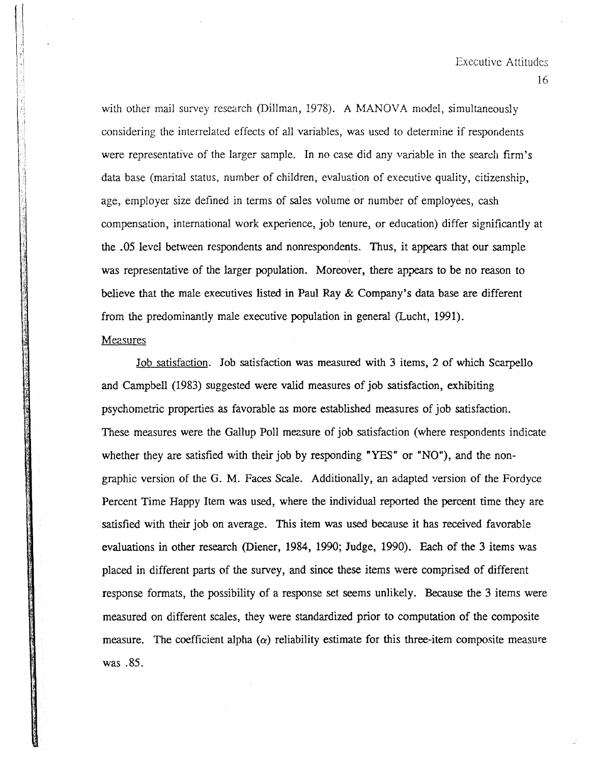with other mail survey research (Dillman, 1978). A MANOVA model, simultaneously considering the interrelated effects of all variables, was used to determine if respondents were representative of the larger sample. In no case did any variable in the search firm's data base (marital status, number of children, evaluation of executive quality, citizenship, age, employer size defined in terms of sales volume or number of employees, cash compensation, international work experience, job tenure, or education) differ significantly at the .05 level between respondents and nonrespondents. Thus, it appears that our sample was representative of the larger population. Moreover, there appears to be no reason to believe that the male executives listed in Paul Ray & Company's data base are different from the predominantly male executive population in general (Lucht, 1991).

# Measures

Job satisfaction. Job satisfaction was measured with 3 items, 2 of which Scarpello and Campbell (1983) suggested were valid measures of job satisfaction, exhibiting psychometric properties as favorable as more established measures of job satisfaction. These measures were the Gallup Poll measure of job satisfaction (where respondents indicate whether they are satisfied with their job by responding "YES" or "NO"), and the nongraphic version of the G. M. Faces Scale. Additionally, an adapted version of the Fordyce Percent Time Happy Item was used, where the individual reported the percent time they are satisfied with their job on average. This item was used because it has received favorable evaluations in other research (Diener, 1984, 1990; Judge, 1990). Each of the 3 items was placed in different parts of the survey, and since these items were comprised of different respanse formats, the possibility of a response set seems unlikely. Because the 3 items were measured on different scales, they were standardized prior to computation of the composite measure. The coefficient alpha  $(\alpha)$  reliability estimate for this three-item composite measure was .85.